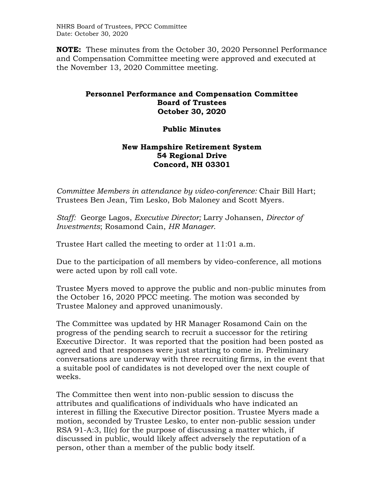NHRS Board of Trustees, PPCC Committee Date: October 30, 2020

**NOTE:** These minutes from the October 30, 2020 Personnel Performance and Compensation Committee meeting were approved and executed at the November 13, 2020 Committee meeting.

## **Personnel Performance and Compensation Committee Board of Trustees October 30, 2020**

## **Public Minutes**

## **New Hampshire Retirement System 54 Regional Drive Concord, NH 03301**

*Committee Members in attendance by video-conference:* Chair Bill Hart; Trustees Ben Jean, Tim Lesko, Bob Maloney and Scott Myers.

*Staff:* George Lagos, *Executive Director;* Larry Johansen, *Director of Investments*; Rosamond Cain, *HR Manager*.

Trustee Hart called the meeting to order at 11:01 a.m.

Due to the participation of all members by video-conference, all motions were acted upon by roll call vote.

Trustee Myers moved to approve the public and non-public minutes from the October 16, 2020 PPCC meeting. The motion was seconded by Trustee Maloney and approved unanimously.

The Committee was updated by HR Manager Rosamond Cain on the progress of the pending search to recruit a successor for the retiring Executive Director. It was reported that the position had been posted as agreed and that responses were just starting to come in. Preliminary conversations are underway with three recruiting firms, in the event that a suitable pool of candidates is not developed over the next couple of weeks.

The Committee then went into non-public session to discuss the attributes and qualifications of individuals who have indicated an interest in filling the Executive Director position. Trustee Myers made a motion, seconded by Trustee Lesko, to enter non-public session under RSA 91-A:3, II(c) for the purpose of discussing a matter which, if discussed in public, would likely affect adversely the reputation of a person, other than a member of the public body itself.